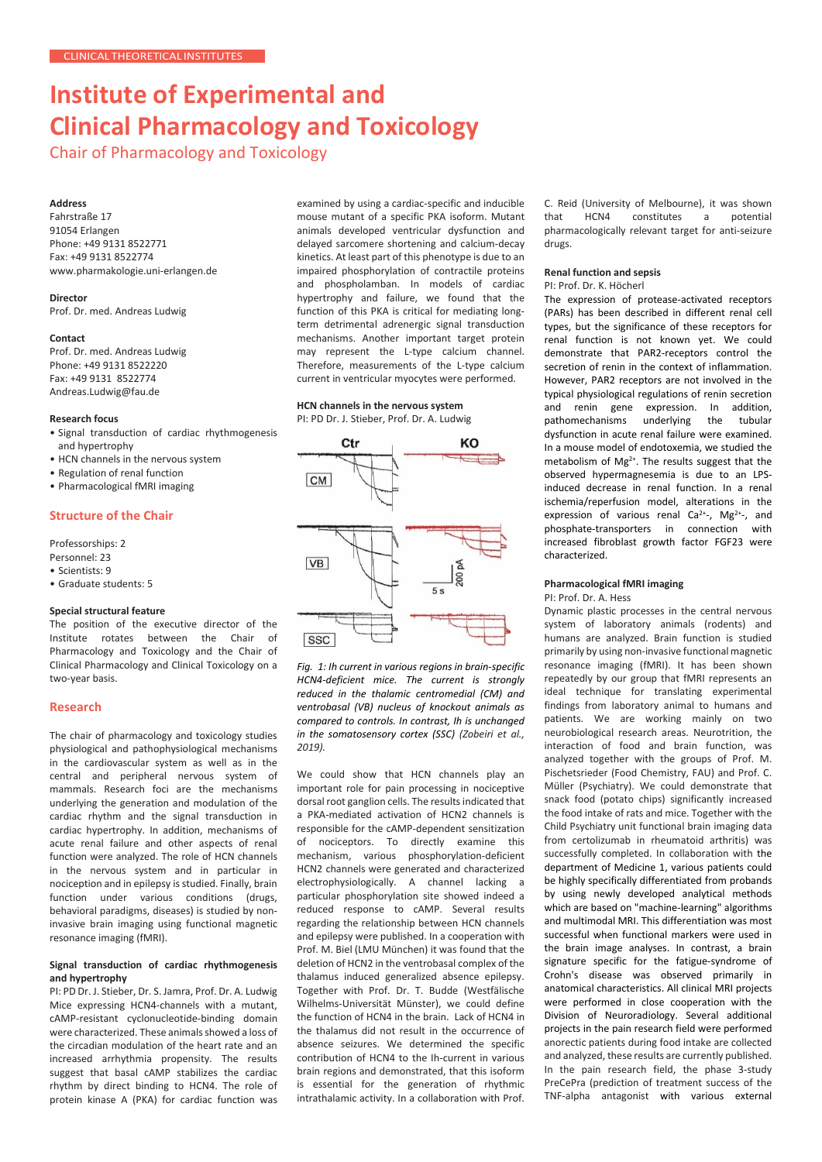# **Institute of Experimental and Clinical Pharmacology and Toxicology**

Chair of Pharmacology and Toxicology

# **Address**

Fahrstraße 17 91054 Erlangen Phone: +49 9131 8522771 Fax: +49 9131 8522774 [www.pharmakologie.uni-erlangen.de](http://www.pharmakologie.uni-erlangen.de/)

# **Director**

Prof. Dr. med. Andreas Ludwig

# **Contact**

Prof. Dr. med. Andreas Ludwig Phone: +49 9131 8522220 Fax: +49 9131 8522774 [Andreas.Ludwig@fau.de](mailto:Andreas.Ludwig@fau.de)

## **Research focus**

- Signal transduction of cardiac rhythmogenesis and hypertrophy
- HCN channels in the nervous system
- Regulation of renal function
- Pharmacological fMRI imaging

# **Structure of the Chair**

Professorships: 2

- Personnel: 23
- Scientists: 9
- Graduate students: 5

### **Special structural feature**

The position of the executive director of the Institute rotates between the Chair of Pharmacology and Toxicology and the Chair of Clinical Pharmacology and Clinical Toxicology on a two-year basis.

### **Research**

The chair of pharmacology and toxicology studies physiological and pathophysiological mechanisms in the cardiovascular system as well as in the central and peripheral nervous system of mammals. Research foci are the mechanisms underlying the generation and modulation of the cardiac rhythm and the signal transduction in cardiac hypertrophy. In addition, mechanisms of acute renal failure and other aspects of renal function were analyzed. The role of HCN channels in the nervous system and in particular in nociception and in epilepsy is studied. Finally, brain function under various conditions (drugs, behavioral paradigms, diseases) is studied by noninvasive brain imaging using functional magnetic resonance imaging (fMRI).

# **Signal transduction of cardiac rhythmogenesis and hypertrophy**

PI: PD Dr. J. Stieber, Dr. S. Jamra, Prof. Dr. A. Ludwig Mice expressing HCN4-channels with a mutant, cAMP-resistant cyclonucleotide-binding domain were characterized. These animals showed a loss of the circadian modulation of the heart rate and an increased arrhythmia propensity. The results suggest that basal cAMP stabilizes the cardiac rhythm by direct binding to HCN4. The role of protein kinase A (PKA) for cardiac function was examined by using a cardiac-specific and inducible mouse mutant of a specific PKA isoform. Mutant animals developed ventricular dysfunction and delayed sarcomere shortening and calcium-decay kinetics. At least part of this phenotype is due to an impaired phosphorylation of contractile proteins and phospholamban. In models of cardiac hypertrophy and failure, we found that the function of this PKA is critical for mediating longterm detrimental adrenergic signal transduction mechanisms. Another important target protein may represent the L-type calcium channel. Therefore, measurements of the L-type calcium current in ventricular myocytes were performed.

# **HCN channels in the nervous system**

PI: PD Dr. J. Stieber, Prof. Dr. A. Ludwig



*Fig. 1: Ih current in various regions in brain-specific HCN4-deficient mice. The current is strongly reduced in the thalamic centromedial (CM) and ventrobasal (VB) nucleus of knockout animals as compared to controls. In contrast, Ih is unchanged in the somatosensory cortex (SSC) (Zobeiri et al., 2019).*

We could show that HCN channels play an important role for pain processing in nociceptive dorsal root ganglion cells. The results indicated that a PKA-mediated activation of HCN2 channels is responsible for the cAMP-dependent sensitization of nociceptors. To directly examine this mechanism, various phosphorylation-deficient HCN2 channels were generated and characterized electrophysiologically. A channel lacking particular phosphorylation site showed indeed a reduced response to cAMP. Several results regarding the relationship between HCN channels and epilepsy were published. In a cooperation with Prof. M. Biel (LMU München) it was found that the deletion of HCN2 in the ventrobasal complex of the thalamus induced generalized absence epilepsy. Together with Prof. Dr. T. Budde (Westfälische Wilhelms-Universität Münster), we could define the function of HCN4 in the brain. Lack of HCN4 in the thalamus did not result in the occurrence of absence seizures. We determined the specific contribution of HCN4 to the Ih-current in various brain regions and demonstrated, that this isoform is essential for the generation of rhythmic intrathalamic activity. In a collaboration with Prof.

C. Reid (University of Melbourne), it was shown<br>that HCN4 constitutes a potential constitutes pharmacologically relevant target for anti-seizure drugs.

#### **Renal function and sepsis**

PI: Prof. Dr. K. Höcherl

The expression of protease-activated receptors (PARs) has been described in different renal cell types, but the significance of these receptors for renal function is not known yet. We could demonstrate that PAR2-receptors control the secretion of renin in the context of inflammation. However, PAR2 receptors are not involved in the typical physiological regulations of renin secretion and renin gene expression. In addition, pathomechanisms underlying the tubular dysfunction in acute renal failure were examined. In a mouse model of endotoxemia, we studied the metabolism of Mg<sup>2+</sup>. The results suggest that the observed hypermagnesemia is due to an LPSinduced decrease in renal function. In a renal ischemia/reperfusion model, alterations in the expression of various renal Ca<sup>2+</sup>-, Mg<sup>2+</sup>-, and phosphate-transporters in connection with increased fibroblast growth factor FGF23 were characterized.

#### **Pharmacological fMRI imaging** PI: Prof. Dr. A. Hess

Dynamic plastic processes in the central nervous system of laboratory animals (rodents) and humans are analyzed. Brain function is studied primarily by using non-invasive functional magnetic resonance imaging (fMRI). It has been shown repeatedly by our group that fMRI represents an ideal technique for translating experimental findings from laboratory animal to humans and patients. We are working mainly on two neurobiological research areas. Neurotrition, the interaction of food and brain function, was analyzed together with the groups of Prof. M. Pischetsrieder (Food Chemistry, FAU) and Prof. C. Müller (Psychiatry). We could demonstrate that snack food (potato chips) significantly increased the food intake of rats and mice. Together with the Child Psychiatry unit functional brain imaging data from certolizumab in rheumatoid arthritis) was successfully completed. In collaboration with the department of Medicine 1, various patients could be highly specifically differentiated from probands by using newly developed analytical methods which are based on "machine-learning" algorithms and multimodal MRI. This differentiation was most successful when functional markers were used in the brain image analyses. In contrast, a brain signature specific for the fatigue-syndrome of Crohn's disease was observed primarily in anatomical characteristics. All clinical MRI projects were performed in close cooperation with the Division of Neuroradiology. Several additional projects in the pain research field were performed anorectic patients during food intake are collected and analyzed, these results are currently published. In the pain research field, the phase 3-study PreCePra (prediction of treatment success of the TNF-alpha antagonist with various external